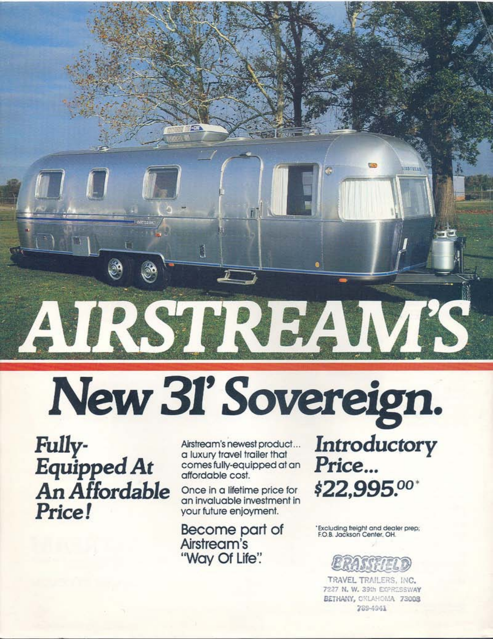# IRST II. New 31' Sovereign.

Fully-Equipped At An Affordable Price!

Airstream's newest product... a luxury travel trailer that comes fully-equipped at an affordable cost.

Once in a lifetime price for an invaluable investment in your future enjoyment.

Become part of Airstream's "Way Of Life".

Introductory Price... \$22,995.00\*

'Excluding freight and dealer prep; F.O.B. Jackson Center, OH.



TRAVEL TRAILERS, INC. 7227 N. W. 39th EXPRESSWAY BETHANY, CKLAHOMA 73008 289-4941